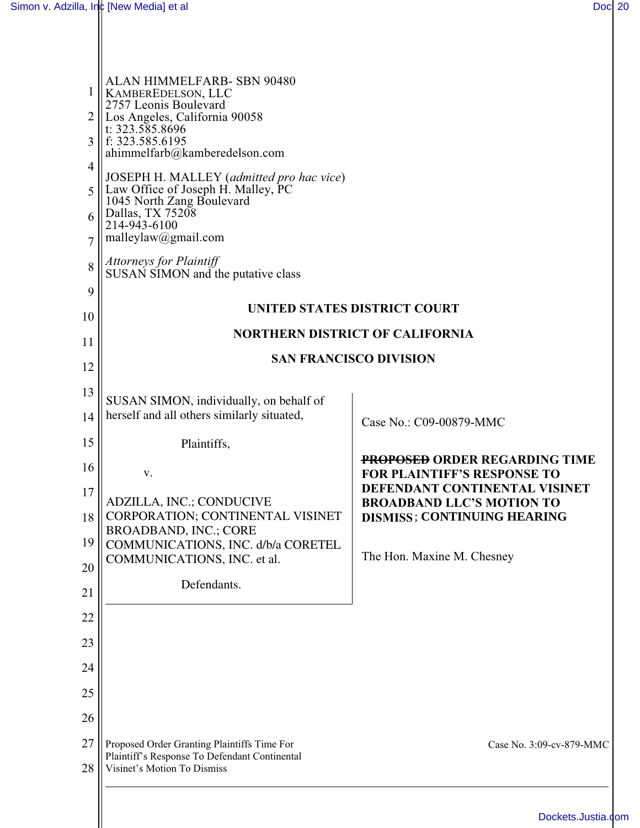| 1<br>2<br>3<br>4<br>5<br>6<br>7<br>8 | ALAN HIMMELFARB- SBN 90480<br>KAMBEREDELSON, LLC<br>2757 Leonis Boulevard<br>Los Angeles, California 90058<br>t: $323.585.8696$<br>f: 323.585.6195<br>ahimmelfarb@kamberedelson.com<br>JOSEPH H. MALLEY (admitted pro hac vice)<br>Law Office of Joseph H. Malley, PC<br>1045 North Zang Boulevard<br>Dallas, TX 75208<br>214-943-6100<br>malleylaw@gmail.com<br><b>Attorneys for Plaintiff</b><br>SUSAN SIMON and the putative class |                                                                        |
|--------------------------------------|---------------------------------------------------------------------------------------------------------------------------------------------------------------------------------------------------------------------------------------------------------------------------------------------------------------------------------------------------------------------------------------------------------------------------------------|------------------------------------------------------------------------|
| 9                                    |                                                                                                                                                                                                                                                                                                                                                                                                                                       | UNITED STATES DISTRICT COURT                                           |
| 10                                   | <b>NORTHERN DISTRICT OF CALIFORNIA</b>                                                                                                                                                                                                                                                                                                                                                                                                |                                                                        |
| 11                                   | <b>SAN FRANCISCO DIVISION</b>                                                                                                                                                                                                                                                                                                                                                                                                         |                                                                        |
| 12                                   |                                                                                                                                                                                                                                                                                                                                                                                                                                       |                                                                        |
| 13<br>14                             | SUSAN SIMON, individually, on behalf of<br>herself and all others similarly situated,                                                                                                                                                                                                                                                                                                                                                 |                                                                        |
| 15                                   |                                                                                                                                                                                                                                                                                                                                                                                                                                       | Case No.: C09-00879-MMC                                                |
| 16                                   | Plaintiffs,                                                                                                                                                                                                                                                                                                                                                                                                                           | <b>PROPOSED ORDER REGARDING TIME</b>                                   |
| 17                                   | V.                                                                                                                                                                                                                                                                                                                                                                                                                                    | <b>FOR PLAINTIFF'S RESPONSE TO</b><br>DEFENDANT CONTINENTAL VISINET    |
| 18                                   | <b>ADZILLA, INC.; CONDUCIVE</b><br><b>CORPORATION; CONTINENTAL VISINET</b><br><b>BROADBAND, INC.; CORE</b>                                                                                                                                                                                                                                                                                                                            | <b>BROADBAND LLC'S MOTION TO</b><br><b>DISMISS; CONTINUING HEARING</b> |
| 19                                   | COMMUNICATIONS, INC. d/b/a CORETEL                                                                                                                                                                                                                                                                                                                                                                                                    | The Hon. Maxine M. Chesney                                             |
| 20                                   | COMMUNICATIONS, INC. et al.<br>Defendants.                                                                                                                                                                                                                                                                                                                                                                                            |                                                                        |
| 21                                   |                                                                                                                                                                                                                                                                                                                                                                                                                                       |                                                                        |
| 22                                   |                                                                                                                                                                                                                                                                                                                                                                                                                                       |                                                                        |
| 23                                   |                                                                                                                                                                                                                                                                                                                                                                                                                                       |                                                                        |
| 24                                   |                                                                                                                                                                                                                                                                                                                                                                                                                                       |                                                                        |
| 25                                   |                                                                                                                                                                                                                                                                                                                                                                                                                                       |                                                                        |
| 26                                   |                                                                                                                                                                                                                                                                                                                                                                                                                                       |                                                                        |
| 27<br>28                             | Proposed Order Granting Plaintiffs Time For<br>Plaintiff's Response To Defendant Continental<br>Visinet's Motion To Dismiss                                                                                                                                                                                                                                                                                                           | Case No. 3:09-cv-879-MMC                                               |
|                                      |                                                                                                                                                                                                                                                                                                                                                                                                                                       |                                                                        |